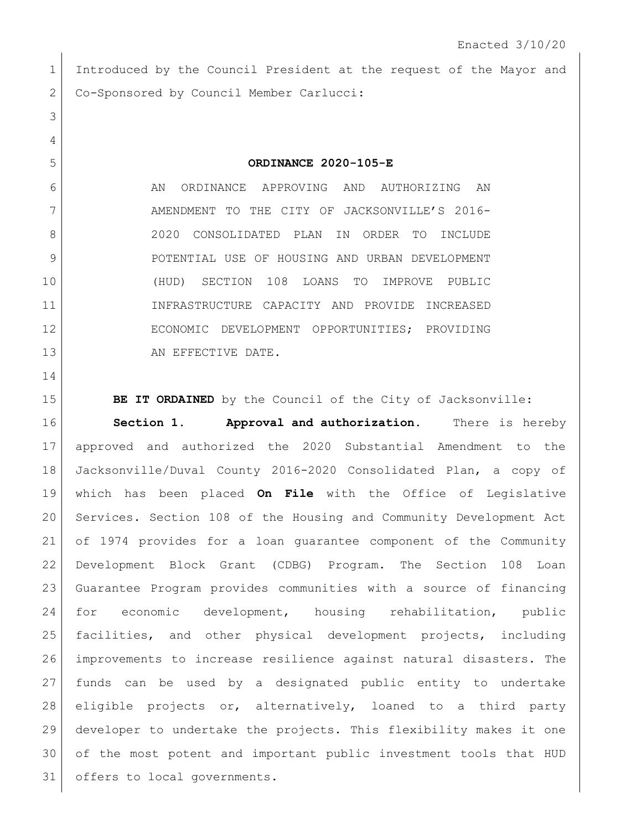1 Introduced by the Council President at the request of the Mayor and 2 Co-Sponsored by Council Member Carlucci:

**ORDINANCE 2020-105-E**

6 AN ORDINANCE APPROVING AND AUTHORIZING AN 7 AMENDMENT TO THE CITY OF JACKSONVILLE'S 2016- 2020 CONSOLIDATED PLAN IN ORDER TO INCLUDE 9 | POTENTIAL USE OF HOUSING AND URBAN DEVELOPMENT (HUD) SECTION 108 LOANS TO IMPROVE PUBLIC INFRASTRUCTURE CAPACITY AND PROVIDE INCREASED ECONOMIC DEVELOPMENT OPPORTUNITIES; PROVIDING 13 AN EFFECTIVE DATE.

**BE IT ORDAINED** by the Council of the City of Jacksonville: **Section 1. Approval and authorization.** There is hereby approved and authorized the 2020 Substantial Amendment to the Jacksonville/Duval County 2016-2020 Consolidated Plan, a copy of which has been placed **On File** with the Office of Legislative Services. Section 108 of the Housing and Community Development Act of 1974 provides for a loan guarantee component of the Community Development Block Grant (CDBG) Program. The Section 108 Loan Guarantee Program provides communities with a source of financing for economic development, housing rehabilitation, public facilities, and other physical development projects, including improvements to increase resilience against natural disasters. The funds can be used by a designated public entity to undertake eligible projects or, alternatively, loaned to a third party developer to undertake the projects. This flexibility makes it one of the most potent and important public investment tools that HUD 31 offers to local governments.